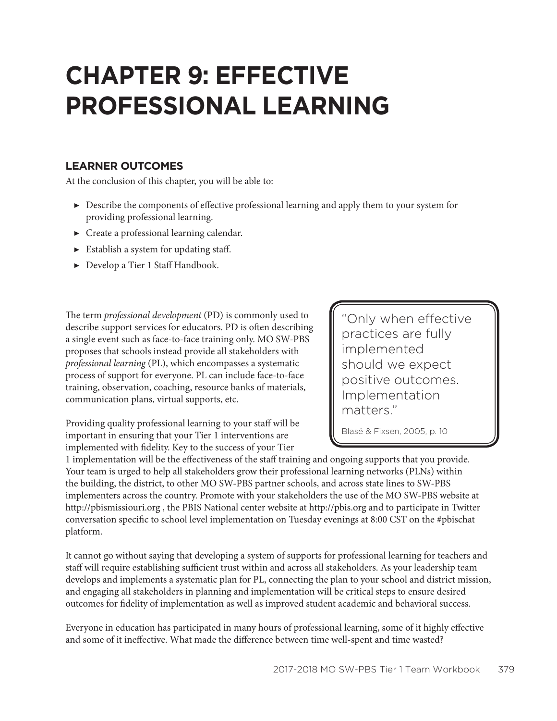# **CHAPTER 9: EFFECTIVE PROFESSIONAL LEARNING**

#### **LEARNER OUTCOMES**

At the conclusion of this chapter, you will be able to:

- ▶ Describe the components of effective professional learning and apply them to your system for providing professional learning.
- $\triangleright$  Create a professional learning calendar.
- ▶ Establish a system for updating staff.
- ▶ Develop a Tier 1 Staff Handbook.

The term *professional development* (PD) is commonly used to describe support services for educators. PD is often describing a single event such as face-to-face training only. MO SW-PBS proposes that schools instead provide all stakeholders with *professional learning* (PL), which encompasses a systematic process of support for everyone. PL can include face-to-face training, observation, coaching, resource banks of materials, communication plans, virtual supports, etc.

Providing quality professional learning to your staff will be important in ensuring that your Tier 1 interventions are implemented with fidelity. Key to the success of your Tier

"Only when effective practices are fully implemented should we expect positive outcomes. Implementation matters."

Blasé & Fixsen, 2005, p. 10

1 implementation will be the effectiveness of the staff training and ongoing supports that you provide. Your team is urged to help all stakeholders grow their professional learning networks (PLNs) within the building, the district, to other MO SW-PBS partner schools, and across state lines to SW-PBS implementers across the country. Promote with your stakeholders the use of the MO SW-PBS website at http://pbismissiouri.org , the PBIS National center website at http://pbis.org and to participate in Twitter conversation specific to school level implementation on Tuesday evenings at 8:00 CST on the #pbischat platform.

It cannot go without saying that developing a system of supports for professional learning for teachers and staff will require establishing sufficient trust within and across all stakeholders. As your leadership team develops and implements a systematic plan for PL, connecting the plan to your school and district mission, and engaging all stakeholders in planning and implementation will be critical steps to ensure desired outcomes for fidelity of implementation as well as improved student academic and behavioral success.

Everyone in education has participated in many hours of professional learning, some of it highly effective and some of it ineffective. What made the difference between time well-spent and time wasted?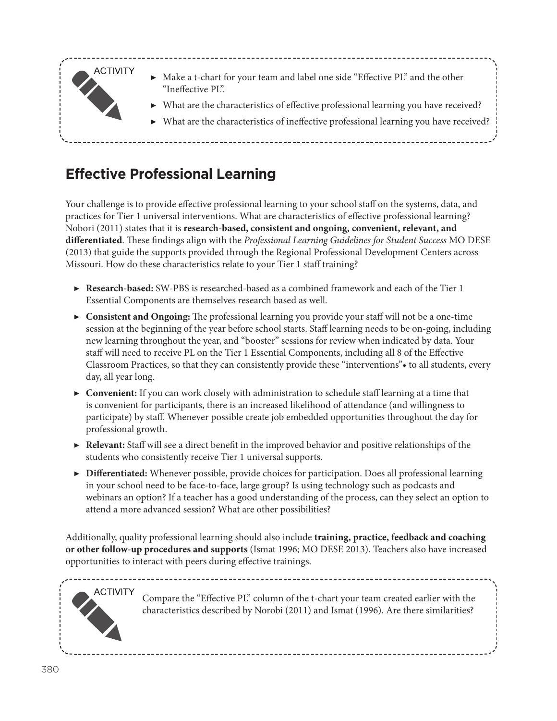

## **Effective Professional Learning**

Your challenge is to provide effective professional learning to your school staff on the systems, data, and practices for Tier 1 universal interventions. What are characteristics of effective professional learning? Nobori (2011) states that it is **research-based, consistent and ongoing, convenient, relevant, and differentiated**. These findings align with the *Professional Learning Guidelines for Student Success* MO DESE (2013) that guide the supports provided through the Regional Professional Development Centers across Missouri. How do these characteristics relate to your Tier 1 staff training?

- ▶ **Research-based:** SW-PBS is researched-based as a combined framework and each of the Tier 1 Essential Components are themselves research based as well.
- ▶ **Consistent and Ongoing:** The professional learning you provide your staff will not be a one-time session at the beginning of the year before school starts. Staff learning needs to be on-going, including new learning throughout the year, and "booster" sessions for review when indicated by data. Your staff will need to receive PL on the Tier 1 Essential Components, including all 8 of the Effective Classroom Practices, so that they can consistently provide these "interventions"• to all students, every day, all year long.
- ▶ **Convenient:** If you can work closely with administration to schedule staff learning at a time that is convenient for participants, there is an increased likelihood of attendance (and willingness to participate) by staff. Whenever possible create job embedded opportunities throughout the day for professional growth.
- ▶ **Relevant:** Staff will see a direct benefit in the improved behavior and positive relationships of the students who consistently receive Tier 1 universal supports.
- ▶ **Differentiated:** Whenever possible, provide choices for participation. Does all professional learning in your school need to be face-to-face, large group? Is using technology such as podcasts and webinars an option? If a teacher has a good understanding of the process, can they select an option to attend a more advanced session? What are other possibilities?

Additionally, quality professional learning should also include **training, practice, feedback and coaching or other follow-up procedures and supports** (Ismat 1996; MO DESE 2013). Teachers also have increased opportunities to interact with peers during effective trainings.

--------------------------



Compare the "Effective PL" column of the t-chart your team created earlier with the characteristics described by Norobi (2011) and Ismat (1996). Are there similarities?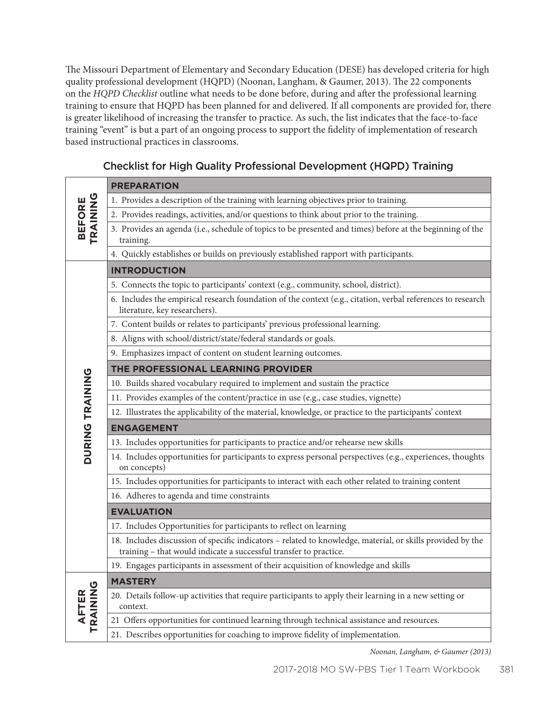The Missouri Department of Elementary and Secondary Education (DESE) has developed criteria for high quality professional development (HQPD) (Noonan, Langham, & Gaumer, 2013). The 22 components on the *HQPD Checklist* outline what needs to be done before, during and after the professional learning training to ensure that HQPD has been planned for and delivered. If all components are provided for, there is greater likelihood of increasing the transfer to practice. As such, the list indicates that the face-to-face training "event" is but a part of an ongoing process to support the fidelity of implementation of research based instructional practices in classrooms.

| <b>BEFORE</b><br>TRAINING | <b>PREPARATION</b>                                                                                                                                                              |
|---------------------------|---------------------------------------------------------------------------------------------------------------------------------------------------------------------------------|
|                           | 1. Provides a description of the training with learning objectives prior to training.                                                                                           |
|                           | 2. Provides readings, activities, and/or questions to think about prior to the training.                                                                                        |
|                           | 3. Provides an agenda (i.e., schedule of topics to be presented and times) before at the beginning of the<br>training.                                                          |
|                           | 4. Quickly establishes or builds on previously established rapport with participants.                                                                                           |
|                           | <b>INTRODUCTION</b>                                                                                                                                                             |
|                           | 5. Connects the topic to participants' context (e.g., community, school, district).                                                                                             |
|                           | 6. Includes the empirical research foundation of the context (e.g., citation, verbal references to research<br>literature, key researchers).                                    |
|                           | 7. Content builds or relates to participants' previous professional learning.                                                                                                   |
|                           | 8. Aligns with school/district/state/federal standards or goals.                                                                                                                |
|                           | 9. Emphasizes impact of content on student learning outcomes.                                                                                                                   |
|                           | THE PROFESSIONAL LEARNING PROVIDER                                                                                                                                              |
| <b>DURING TRAINING</b>    | 10. Builds shared vocabulary required to implement and sustain the practice                                                                                                     |
|                           | 11. Provides examples of the content/practice in use (e.g., case studies, vignette)                                                                                             |
|                           | 12. Illustrates the applicability of the material, knowledge, or practice to the participants' context                                                                          |
|                           | <b>ENGAGEMENT</b>                                                                                                                                                               |
|                           | 13. Includes opportunities for participants to practice and/or rehearse new skills                                                                                              |
|                           | 14. Includes opportunities for participants to express personal perspectives (e.g., experiences, thoughts<br>on concepts)                                                       |
|                           | 15. Includes opportunities for participants to interact with each other related to training content                                                                             |
|                           | 16. Adheres to agenda and time constraints                                                                                                                                      |
|                           | <b>EVALUATION</b>                                                                                                                                                               |
|                           | 17. Includes Opportunities for participants to reflect on learning                                                                                                              |
|                           | 18. Includes discussion of specific indicators - related to knowledge, material, or skills provided by the<br>training - that would indicate a successful transfer to practice. |
|                           | 19. Engages participants in assessment of their acquisition of knowledge and skills                                                                                             |
|                           | <b>MASTERY</b>                                                                                                                                                                  |
| AFTER<br>TRAINING         | 20. Details follow-up activities that require participants to apply their learning in a new setting or<br>context.                                                              |
|                           | 21 Offers opportunities for continued learning through technical assistance and resources.                                                                                      |
|                           | 21. Describes opportunities for coaching to improve fidelity of implementation.                                                                                                 |

#### Checklist for High Quality Professional Development (HQPD) Training

*Noonan, Langham, & Gaumer (2013)*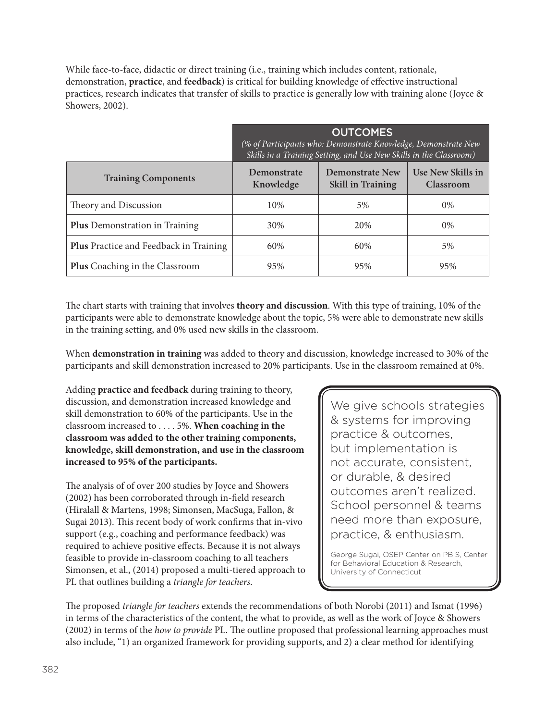While face-to-face, didactic or direct training (i.e., training which includes content, rationale, demonstration, **practice**, and **feedback**) is critical for building knowledge of effective instructional practices, research indicates that transfer of skills to practice is generally low with training alone (Joyce & Showers, 2002).

|                                               | <b>OUTCOMES</b><br>(% of Participants who: Demonstrate Knowledge, Demonstrate New<br>Skills in a Training Setting, and Use New Skills in the Classroom) |                                             |                                |  |
|-----------------------------------------------|---------------------------------------------------------------------------------------------------------------------------------------------------------|---------------------------------------------|--------------------------------|--|
| <b>Training Components</b>                    | Demonstrate<br>Knowledge                                                                                                                                | Demonstrate New<br><b>Skill in Training</b> | Use New Skills in<br>Classroom |  |
| Theory and Discussion                         | 10%                                                                                                                                                     | 5%                                          | $0\%$                          |  |
| <b>Plus</b> Demonstration in Training         | 30%                                                                                                                                                     | 20%                                         | $0\%$                          |  |
| <b>Plus</b> Practice and Feedback in Training | 60%                                                                                                                                                     | 60%                                         | 5%                             |  |
| <b>Plus</b> Coaching in the Classroom         | 95%                                                                                                                                                     | 95%                                         | 95%                            |  |

The chart starts with training that involves **theory and discussion**. With this type of training, 10% of the participants were able to demonstrate knowledge about the topic, 5% were able to demonstrate new skills in the training setting, and 0% used new skills in the classroom.

When **demonstration in training** was added to theory and discussion, knowledge increased to 30% of the participants and skill demonstration increased to 20% participants. Use in the classroom remained at 0%.

Adding **practice and feedback** during training to theory, discussion, and demonstration increased knowledge and skill demonstration to 60% of the participants. Use in the classroom increased to . . . . 5%. **When coaching in the classroom was added to the other training components, knowledge, skill demonstration, and use in the classroom increased to 95% of the participants.**

The analysis of of over 200 studies by Joyce and Showers (2002) has been corroborated through in-field research (Hiralall & Martens, 1998; Simonsen, MacSuga, Fallon, & Sugai 2013). This recent body of work confirms that in-vivo support (e.g., coaching and performance feedback) was required to achieve positive effects. Because it is not always feasible to provide in-classroom coaching to all teachers Simonsen, et al., (2014) proposed a multi-tiered approach to PL that outlines building a *triangle for teachers*.

We give schools strategies & systems for improving practice & outcomes, but implementation is not accurate, consistent, or durable, & desired outcomes aren't realized. School personnel & teams need more than exposure, practice, & enthusiasm.

George Sugai, OSEP Center on PBIS, Center for Behavioral Education & Research, University of Connecticut

The proposed *triangle for teachers* extends the recommendations of both Norobi (2011) and Ismat (1996) in terms of the characteristics of the content, the what to provide, as well as the work of Joyce & Showers (2002) in terms of the *how to provide* PL. The outline proposed that professional learning approaches must also include, "1) an organized framework for providing supports, and 2) a clear method for identifying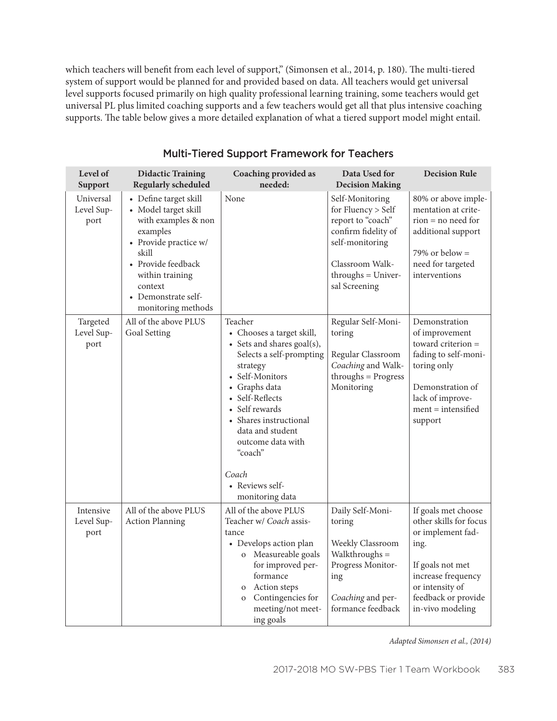which teachers will benefit from each level of support," (Simonsen et al., 2014, p. 180). The multi-tiered system of support would be planned for and provided based on data. All teachers would get universal level supports focused primarily on high quality professional learning training, some teachers would get universal PL plus limited coaching supports and a few teachers would get all that plus intensive coaching supports. The table below gives a more detailed explanation of what a tiered support model might entail.

| Level of<br>Support             | <b>Didactic Training</b><br><b>Regularly scheduled</b>                                                                                                                                                            | Coaching provided as<br>needed:                                                                                                                                                                                                                                                                                  | Data Used for<br><b>Decision Making</b>                                                                                                                          | <b>Decision Rule</b>                                                                                                                                                               |
|---------------------------------|-------------------------------------------------------------------------------------------------------------------------------------------------------------------------------------------------------------------|------------------------------------------------------------------------------------------------------------------------------------------------------------------------------------------------------------------------------------------------------------------------------------------------------------------|------------------------------------------------------------------------------------------------------------------------------------------------------------------|------------------------------------------------------------------------------------------------------------------------------------------------------------------------------------|
| Universal<br>Level Sup-<br>port | • Define target skill<br>• Model target skill<br>with examples & non<br>examples<br>• Provide practice w/<br>skill<br>• Provide feedback<br>within training<br>context<br>Demonstrate self-<br>monitoring methods | None                                                                                                                                                                                                                                                                                                             | Self-Monitoring<br>for Fluency > Self<br>report to "coach"<br>confirm fidelity of<br>self-monitoring<br>Classroom Walk-<br>$throughs = Univer-$<br>sal Screening | 80% or above imple-<br>mentation at crite-<br>$rion = no need for$<br>additional support<br>79% or below $=$<br>need for targeted<br>interventions                                 |
| Targeted<br>Level Sup-<br>port  | All of the above PLUS<br>Goal Setting                                                                                                                                                                             | Teacher<br>• Chooses a target skill,<br>• Sets and shares goal(s),<br>Selects a self-prompting<br>strategy<br>• Self-Monitors<br>• Graphs data<br>• Self-Reflects<br>• Self rewards<br>• Shares instructional<br>data and student<br>outcome data with<br>"coach"<br>Coach<br>• Reviews self-<br>monitoring data | Regular Self-Moni-<br>toring<br>Regular Classroom<br>Coaching and Walk-<br>$throughs = Progress$<br>Monitoring                                                   | Demonstration<br>of improvement<br>toward criterion =<br>fading to self-moni-<br>toring only<br>Demonstration of<br>lack of improve-<br>$ment = intensified$<br>support            |
| Intensive<br>Level Sup-<br>port | All of the above PLUS<br><b>Action Planning</b>                                                                                                                                                                   | All of the above PLUS<br>Teacher w/ Coach assis-<br>tance<br>• Develops action plan<br>o Measureable goals<br>for improved per-<br>formance<br>Action steps<br>$\mathbf{O}$<br>Contingencies for<br>$\mathbf{O}$<br>meeting/not meet-<br>ing goals                                                               | Daily Self-Moni-<br>toring<br>Weekly Classroom<br>Walkthroughs =<br>Progress Monitor-<br>ing<br>Coaching and per-<br>formance feedback                           | If goals met choose<br>other skills for focus<br>or implement fad-<br>ing.<br>If goals not met<br>increase frequency<br>or intensity of<br>feedback or provide<br>in-vivo modeling |

#### Multi-Tiered Support Framework for Teachers

*Adapted Simonsen et al., (2014)*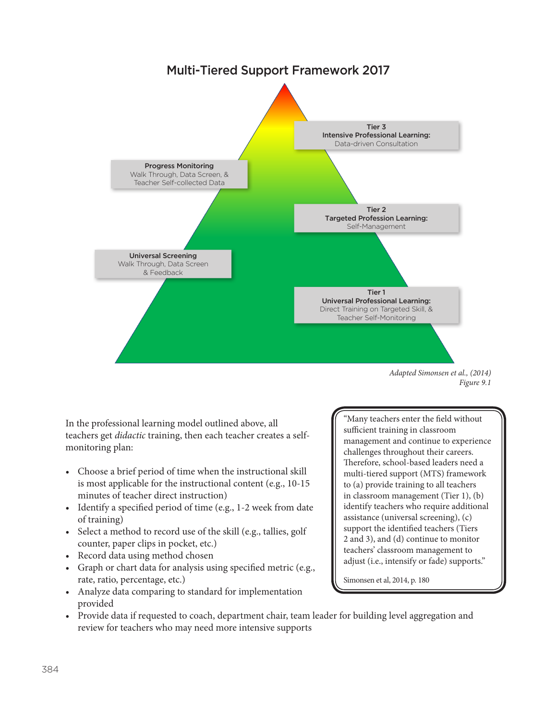

*Figure 9.1*

In the professional learning model outlined above, all teachers get *didactic* training, then each teacher creates a selfmonitoring plan:

- Choose a brief period of time when the instructional skill is most applicable for the instructional content (e.g., 10-15 minutes of teacher direct instruction)
- Identify a specified period of time (e.g., 1-2 week from date of training)
- Select a method to record use of the skill (e.g., tallies, golf counter, paper clips in pocket, etc.)
- Record data using method chosen
- Graph or chart data for analysis using specified metric (e.g., rate, ratio, percentage, etc.)
- Analyze data comparing to standard for implementation provided

"Many teachers enter the field without sufficient training in classroom management and continue to experience challenges throughout their careers. Therefore, school-based leaders need a multi-tiered support (MTS) framework to (a) provide training to all teachers in classroom management (Tier 1), (b) identify teachers who require additional assistance (universal screening), (c) support the identified teachers (Tiers 2 and 3), and (d) continue to monitor teachers' classroom management to adjust (i.e., intensify or fade) supports."

Simonsen et al, 2014, p. 180

• Provide data if requested to coach, department chair, team leader for building level aggregation and review for teachers who may need more intensive supports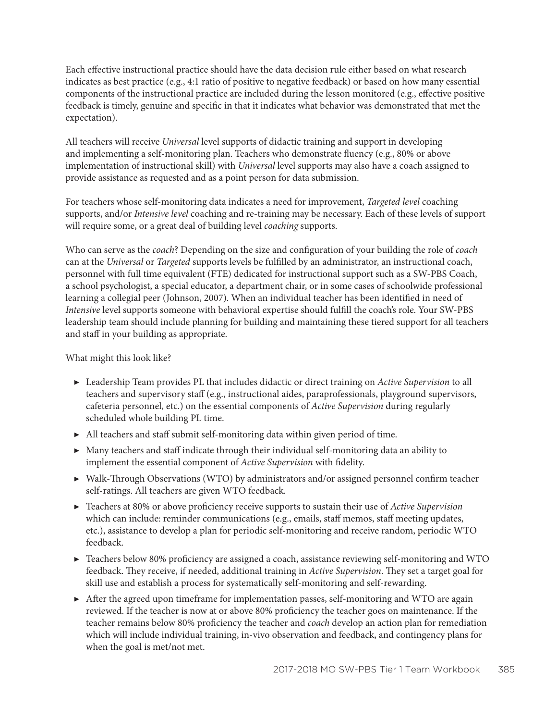Each effective instructional practice should have the data decision rule either based on what research indicates as best practice (e.g., 4:1 ratio of positive to negative feedback) or based on how many essential components of the instructional practice are included during the lesson monitored (e.g., effective positive feedback is timely, genuine and specific in that it indicates what behavior was demonstrated that met the expectation).

All teachers will receive *Universal* level supports of didactic training and support in developing and implementing a self-monitoring plan. Teachers who demonstrate fluency (e.g., 80% or above implementation of instructional skill) with *Universal* level supports may also have a coach assigned to provide assistance as requested and as a point person for data submission.

For teachers whose self-monitoring data indicates a need for improvement, *Targeted level* coaching supports, and/or *Intensive level* coaching and re-training may be necessary. Each of these levels of support will require some, or a great deal of building level *coaching* supports.

Who can serve as the *coach*? Depending on the size and configuration of your building the role of *coach* can at the *Universal* or *Targeted* supports levels be fulfilled by an administrator, an instructional coach, personnel with full time equivalent (FTE) dedicated for instructional support such as a SW-PBS Coach, a school psychologist, a special educator, a department chair, or in some cases of schoolwide professional learning a collegial peer (Johnson, 2007). When an individual teacher has been identified in need of *Intensive* level supports someone with behavioral expertise should fulfill the coach's role. Your SW-PBS leadership team should include planning for building and maintaining these tiered support for all teachers and staff in your building as appropriate.

#### What might this look like?

- ▶ Leadership Team provides PL that includes didactic or direct training on *Active Supervision* to all teachers and supervisory staff (e.g., instructional aides, paraprofessionals, playground supervisors, cafeteria personnel, etc.) on the essential components of *Active Supervision* during regularly scheduled whole building PL time.
- ▶ All teachers and staff submit self-monitoring data within given period of time.
- ▶ Many teachers and staff indicate through their individual self-monitoring data an ability to implement the essential component of *Active Supervision* with fidelity.
- ▶ Walk-Through Observations (WTO) by administrators and/or assigned personnel confirm teacher self-ratings. All teachers are given WTO feedback.
- ▶ Teachers at 80% or above proficiency receive supports to sustain their use of *Active Supervision* which can include: reminder communications (e.g., emails, staff memos, staff meeting updates, etc.), assistance to develop a plan for periodic self-monitoring and receive random, periodic WTO feedback.
- ▶ Teachers below 80% proficiency are assigned a coach, assistance reviewing self-monitoring and WTO feedback. They receive, if needed, additional training in *Active Supervision*. They set a target goal for skill use and establish a process for systematically self-monitoring and self-rewarding.
- ▶ After the agreed upon timeframe for implementation passes, self-monitoring and WTO are again reviewed. If the teacher is now at or above 80% proficiency the teacher goes on maintenance. If the teacher remains below 80% proficiency the teacher and *coach* develop an action plan for remediation which will include individual training, in-vivo observation and feedback, and contingency plans for when the goal is met/not met.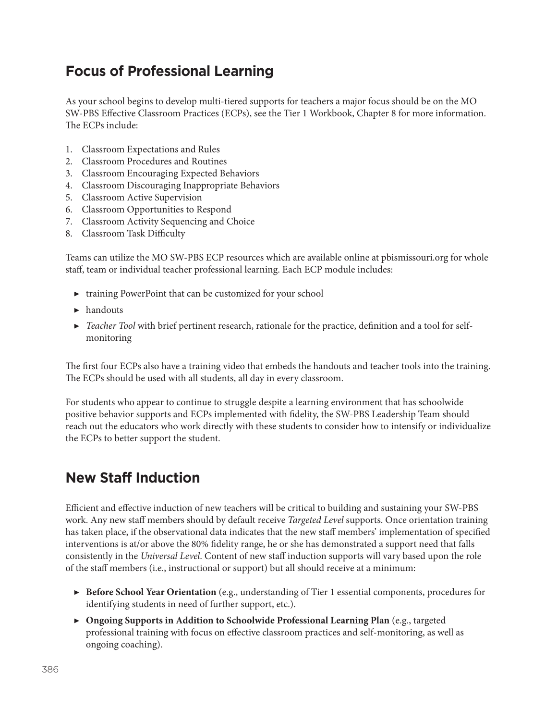## **Focus of Professional Learning**

As your school begins to develop multi-tiered supports for teachers a major focus should be on the MO SW-PBS Effective Classroom Practices (ECPs), see the Tier 1 Workbook, Chapter 8 for more information. The ECPs include:

- 1. Classroom Expectations and Rules
- 2. Classroom Procedures and Routines
- 3. Classroom Encouraging Expected Behaviors
- 4. Classroom Discouraging Inappropriate Behaviors
- 5. Classroom Active Supervision
- 6. Classroom Opportunities to Respond
- 7. Classroom Activity Sequencing and Choice
- 8. Classroom Task Difficulty

Teams can utilize the MO SW-PBS ECP resources which are available online at pbismissouri.org for whole staff, team or individual teacher professional learning. Each ECP module includes:

- ▶ training PowerPoint that can be customized for your school
- ▶ handouts
- ▶ *Teacher Tool* with brief pertinent research, rationale for the practice, definition and a tool for selfmonitoring

The first four ECPs also have a training video that embeds the handouts and teacher tools into the training. The ECPs should be used with all students, all day in every classroom.

For students who appear to continue to struggle despite a learning environment that has schoolwide positive behavior supports and ECPs implemented with fidelity, the SW-PBS Leadership Team should reach out the educators who work directly with these students to consider how to intensify or individualize the ECPs to better support the student.

#### **New Staff Induction**

Efficient and effective induction of new teachers will be critical to building and sustaining your SW-PBS work. Any new staff members should by default receive *Targeted Level* supports. Once orientation training has taken place, if the observational data indicates that the new staff members' implementation of specified interventions is at/or above the 80% fidelity range, he or she has demonstrated a support need that falls consistently in the *Universal Level*. Content of new staff induction supports will vary based upon the role of the staff members (i.e., instructional or support) but all should receive at a minimum:

- ▶ **Before School Year Orientation** (e.g., understanding of Tier 1 essential components, procedures for identifying students in need of further support, etc.).
- ▶ **Ongoing Supports in Addition to Schoolwide Professional Learning Plan** (e.g., targeted professional training with focus on effective classroom practices and self-monitoring, as well as ongoing coaching).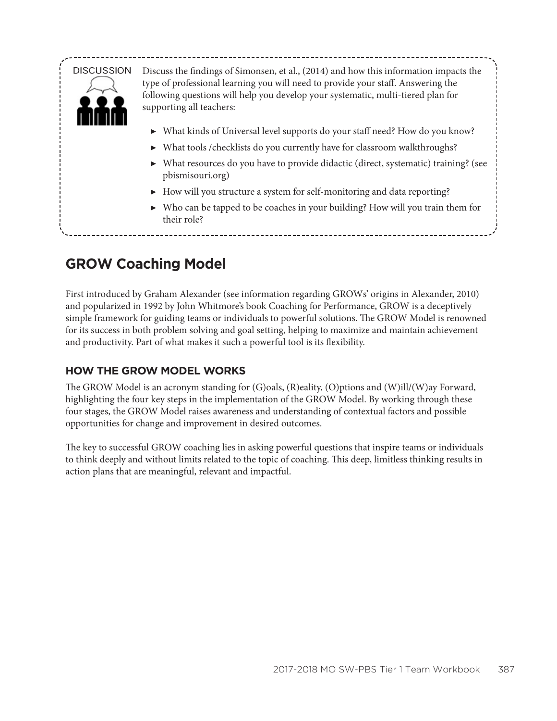

## **GROW Coaching Model**

First introduced by Graham Alexander (see information regarding GROWs' origins in Alexander, 2010) and popularized in 1992 by John Whitmore's book Coaching for Performance, GROW is a deceptively simple framework for guiding teams or individuals to powerful solutions. The GROW Model is renowned for its success in both problem solving and goal setting, helping to maximize and maintain achievement and productivity. Part of what makes it such a powerful tool is its flexibility.

#### **HOW THE GROW MODEL WORKS**

The GROW Model is an acronym standing for (G)oals, (R)eality, (O)ptions and (W)ill/(W)ay Forward, highlighting the four key steps in the implementation of the GROW Model. By working through these four stages, the GROW Model raises awareness and understanding of contextual factors and possible opportunities for change and improvement in desired outcomes.

The key to successful GROW coaching lies in asking powerful questions that inspire teams or individuals to think deeply and without limits related to the topic of coaching. This deep, limitless thinking results in action plans that are meaningful, relevant and impactful.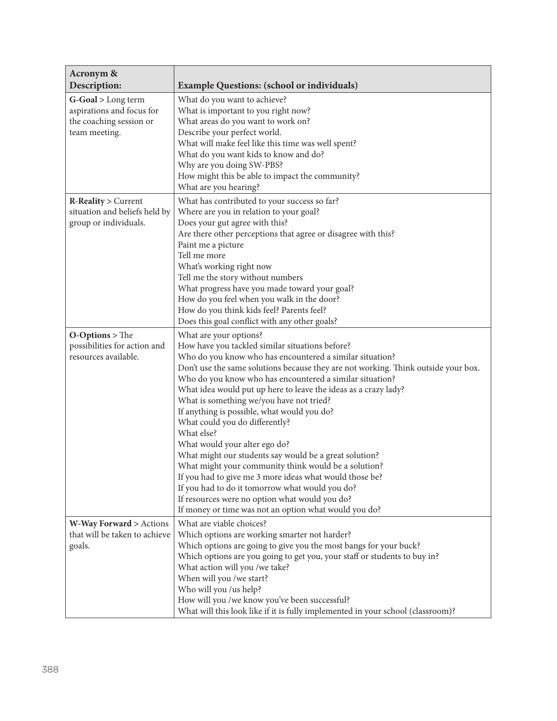| Acronym &<br>Description:                            | <b>Example Questions: (school or individuals)</b>                                                                                              |  |  |  |
|------------------------------------------------------|------------------------------------------------------------------------------------------------------------------------------------------------|--|--|--|
| G-Goal > Long term                                   | What do you want to achieve?                                                                                                                   |  |  |  |
| aspirations and focus for                            | What is important to you right now?                                                                                                            |  |  |  |
| the coaching session or                              | What areas do you want to work on?                                                                                                             |  |  |  |
| team meeting.                                        | Describe your perfect world.                                                                                                                   |  |  |  |
|                                                      | What will make feel like this time was well spent?                                                                                             |  |  |  |
|                                                      | What do you want kids to know and do?                                                                                                          |  |  |  |
|                                                      | Why are you doing SW-PBS?                                                                                                                      |  |  |  |
|                                                      | How might this be able to impact the community?                                                                                                |  |  |  |
|                                                      | What are you hearing?                                                                                                                          |  |  |  |
| R-Reality > Current                                  | What has contributed to your success so far?                                                                                                   |  |  |  |
| situation and beliefs held by                        | Where are you in relation to your goal?                                                                                                        |  |  |  |
| group or individuals.                                | Does your gut agree with this?                                                                                                                 |  |  |  |
|                                                      | Are there other perceptions that agree or disagree with this?                                                                                  |  |  |  |
|                                                      | Paint me a picture                                                                                                                             |  |  |  |
|                                                      | Tell me more                                                                                                                                   |  |  |  |
|                                                      | What's working right now                                                                                                                       |  |  |  |
|                                                      | Tell me the story without numbers                                                                                                              |  |  |  |
|                                                      | What progress have you made toward your goal?                                                                                                  |  |  |  |
|                                                      | How do you feel when you walk in the door?<br>How do you think kids feel? Parents feel?                                                        |  |  |  |
|                                                      | Does this goal conflict with any other goals?                                                                                                  |  |  |  |
|                                                      |                                                                                                                                                |  |  |  |
| $O-Options > The$                                    | What are your options?                                                                                                                         |  |  |  |
| possibilities for action and<br>resources available. | How have you tackled similar situations before?                                                                                                |  |  |  |
|                                                      | Who do you know who has encountered a similar situation?<br>Don't use the same solutions because they are not working. Think outside your box. |  |  |  |
|                                                      | Who do you know who has encountered a similar situation?                                                                                       |  |  |  |
|                                                      | What idea would put up here to leave the ideas as a crazy lady?                                                                                |  |  |  |
|                                                      | What is something we/you have not tried?                                                                                                       |  |  |  |
|                                                      | If anything is possible, what would you do?                                                                                                    |  |  |  |
|                                                      | What could you do differently?                                                                                                                 |  |  |  |
|                                                      | What else?                                                                                                                                     |  |  |  |
|                                                      | What would your alter ego do?                                                                                                                  |  |  |  |
|                                                      | What might our students say would be a great solution?                                                                                         |  |  |  |
|                                                      | What might your community think would be a solution?                                                                                           |  |  |  |
|                                                      | If you had to give me 3 more ideas what would those be?                                                                                        |  |  |  |
|                                                      | If you had to do it tomorrow what would you do?                                                                                                |  |  |  |
|                                                      | If resources were no option what would you do?                                                                                                 |  |  |  |
|                                                      | If money or time was not an option what would you do?                                                                                          |  |  |  |
| W-Way Forward > Actions                              | What are viable choices?                                                                                                                       |  |  |  |
| that will be taken to achieve                        | Which options are working smarter not harder?                                                                                                  |  |  |  |
| goals.                                               | Which options are going to give you the most bangs for your buck?                                                                              |  |  |  |
|                                                      | Which options are you going to get you, your staff or students to buy in?                                                                      |  |  |  |
|                                                      | What action will you /we take?                                                                                                                 |  |  |  |
|                                                      | When will you /we start?                                                                                                                       |  |  |  |
|                                                      | Who will you /us help?                                                                                                                         |  |  |  |
|                                                      | How will you /we know you've been successful?                                                                                                  |  |  |  |
|                                                      | What will this look like if it is fully implemented in your school (classroom)?                                                                |  |  |  |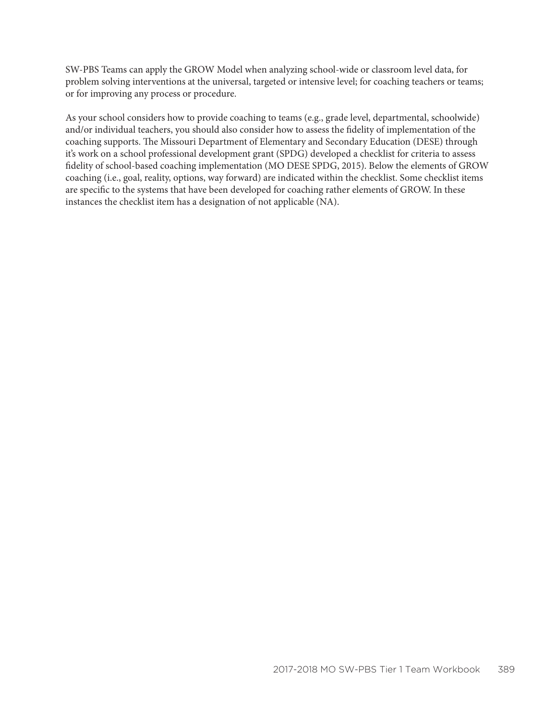SW-PBS Teams can apply the GROW Model when analyzing school-wide or classroom level data, for problem solving interventions at the universal, targeted or intensive level; for coaching teachers or teams; or for improving any process or procedure.

As your school considers how to provide coaching to teams (e.g., grade level, departmental, schoolwide) and/or individual teachers, you should also consider how to assess the fidelity of implementation of the coaching supports. The Missouri Department of Elementary and Secondary Education (DESE) through it's work on a school professional development grant (SPDG) developed a checklist for criteria to assess fidelity of school-based coaching implementation (MO DESE SPDG, 2015). Below the elements of GROW coaching (i.e., goal, reality, options, way forward) are indicated within the checklist. Some checklist items are specific to the systems that have been developed for coaching rather elements of GROW. In these instances the checklist item has a designation of not applicable (NA).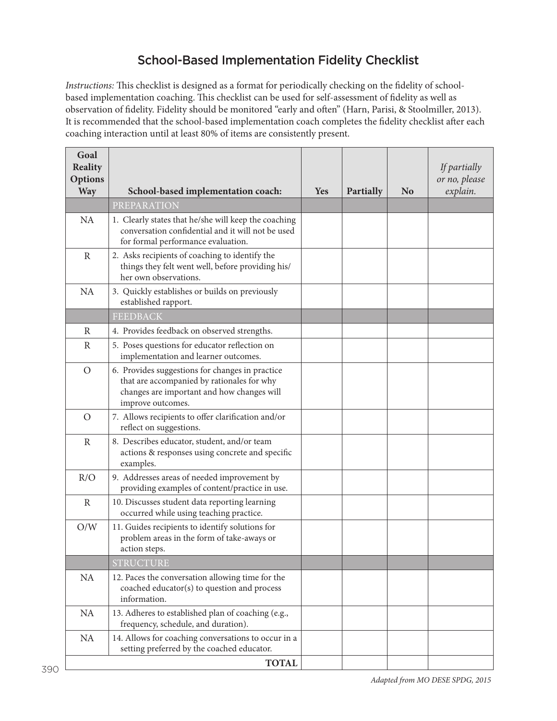#### School-Based Implementation Fidelity Checklist

*Instructions:* This checklist is designed as a format for periodically checking on the fidelity of schoolbased implementation coaching. This checklist can be used for self-assessment of fidelity as well as observation of fidelity. Fidelity should be monitored "early and often" (Harn, Parisi, & Stoolmiller, 2013). It is recommended that the school-based implementation coach completes the fidelity checklist after each coaching interaction until at least 80% of items are consistently present.

| Goal<br><b>Reality</b><br>Options<br><b>Way</b> | School-based implementation coach:                                                                                                                               | Yes | Partially | <b>No</b> | If partially<br>or no, please<br>explain. |
|-------------------------------------------------|------------------------------------------------------------------------------------------------------------------------------------------------------------------|-----|-----------|-----------|-------------------------------------------|
|                                                 | PREPARATION                                                                                                                                                      |     |           |           |                                           |
| <b>NA</b>                                       | 1. Clearly states that he/she will keep the coaching<br>conversation confidential and it will not be used<br>for formal performance evaluation.                  |     |           |           |                                           |
| $\mathbb{R}$                                    | 2. Asks recipients of coaching to identify the<br>things they felt went well, before providing his/<br>her own observations.                                     |     |           |           |                                           |
| <b>NA</b>                                       | 3. Quickly establishes or builds on previously<br>established rapport.                                                                                           |     |           |           |                                           |
|                                                 | <b>FEEDBACK</b>                                                                                                                                                  |     |           |           |                                           |
| R                                               | 4. Provides feedback on observed strengths.                                                                                                                      |     |           |           |                                           |
| $\mathbb{R}$                                    | 5. Poses questions for educator reflection on<br>implementation and learner outcomes.                                                                            |     |           |           |                                           |
| $\overline{O}$                                  | 6. Provides suggestions for changes in practice<br>that are accompanied by rationales for why<br>changes are important and how changes will<br>improve outcomes. |     |           |           |                                           |
| $\overline{O}$                                  | 7. Allows recipients to offer clarification and/or<br>reflect on suggestions.                                                                                    |     |           |           |                                           |
| $\mathbb{R}$                                    | 8. Describes educator, student, and/or team<br>actions & responses using concrete and specific<br>examples.                                                      |     |           |           |                                           |
| R/O                                             | 9. Addresses areas of needed improvement by<br>providing examples of content/practice in use.                                                                    |     |           |           |                                           |
| $\mathbb{R}$                                    | 10. Discusses student data reporting learning<br>occurred while using teaching practice.                                                                         |     |           |           |                                           |
| O/W                                             | 11. Guides recipients to identify solutions for<br>problem areas in the form of take-aways or<br>action steps.                                                   |     |           |           |                                           |
|                                                 | <b>STRUCTURE</b>                                                                                                                                                 |     |           |           |                                           |
| <b>NA</b>                                       | 12. Paces the conversation allowing time for the<br>coached educator(s) to question and process<br>information.                                                  |     |           |           |                                           |
| NA                                              | 13. Adheres to established plan of coaching (e.g.,<br>frequency, schedule, and duration).                                                                        |     |           |           |                                           |
| <b>NA</b>                                       | 14. Allows for coaching conversations to occur in a<br>setting preferred by the coached educator.                                                                |     |           |           |                                           |
|                                                 | <b>TOTAL</b>                                                                                                                                                     |     |           |           |                                           |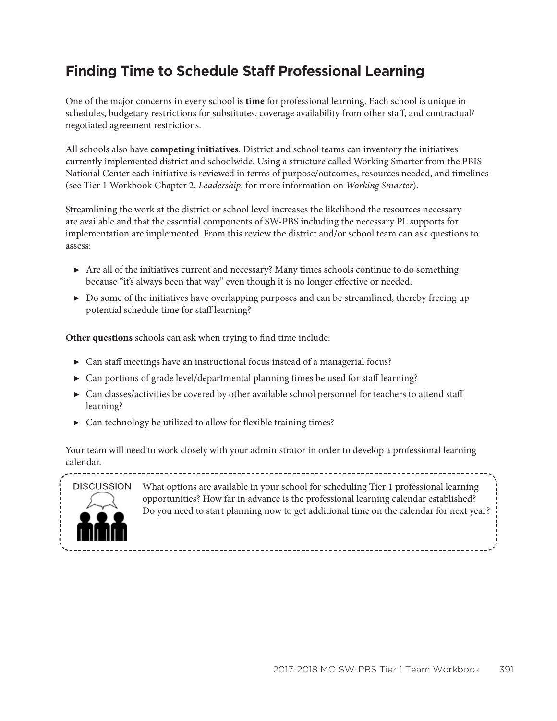## **Finding Time to Schedule Staff Professional Learning**

One of the major concerns in every school is **time** for professional learning. Each school is unique in schedules, budgetary restrictions for substitutes, coverage availability from other staff, and contractual/ negotiated agreement restrictions.

All schools also have **competing initiatives**. District and school teams can inventory the initiatives currently implemented district and schoolwide. Using a structure called Working Smarter from the PBIS National Center each initiative is reviewed in terms of purpose/outcomes, resources needed, and timelines (see Tier 1 Workbook Chapter 2, *Leadership*, for more information on *Working Smarter*).

Streamlining the work at the district or school level increases the likelihood the resources necessary are available and that the essential components of SW-PBS including the necessary PL supports for implementation are implemented. From this review the district and/or school team can ask questions to assess:

- ▶ Are all of the initiatives current and necessary? Many times schools continue to do something because "it's always been that way" even though it is no longer effective or needed.
- ▶ Do some of the initiatives have overlapping purposes and can be streamlined, thereby freeing up potential schedule time for staff learning?

**Other questions** schools can ask when trying to find time include:

- $\triangleright$  Can staff meetings have an instructional focus instead of a managerial focus?
- $\triangleright$  Can portions of grade level/departmental planning times be used for staff learning?
- ▶ Can classes/activities be covered by other available school personnel for teachers to attend staff learning?
- $\triangleright$  Can technology be utilized to allow for flexible training times?

Your team will need to work closely with your administrator in order to develop a professional learning calendar.



What options are available in your school for scheduling Tier 1 professional learning opportunities? How far in advance is the professional learning calendar established? Do you need to start planning now to get additional time on the calendar for next year?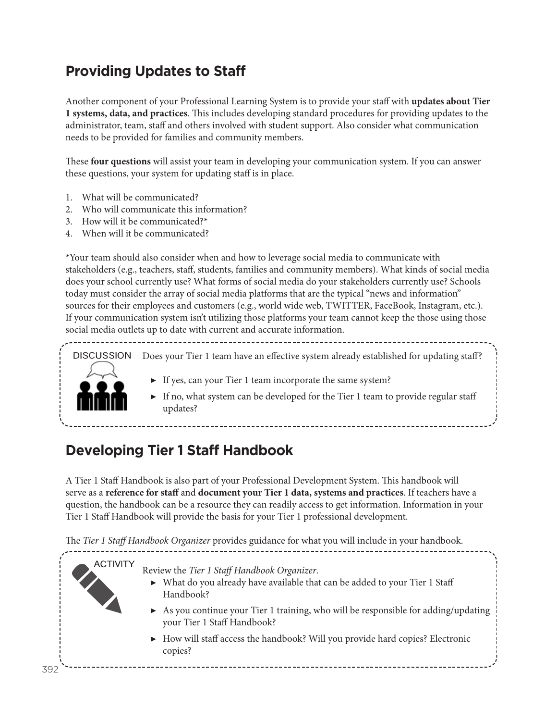# **Providing Updates to Staff**

Another component of your Professional Learning System is to provide your staff with **updates about Tier 1 systems, data, and practices**. This includes developing standard procedures for providing updates to the administrator, team, staff and others involved with student support. Also consider what communication needs to be provided for families and community members.

These **four questions** will assist your team in developing your communication system. If you can answer these questions, your system for updating staff is in place.

- 1. What will be communicated?
- 2. Who will communicate this information?
- 3. How will it be communicated?\*
- 4. When will it be communicated?

\*Your team should also consider when and how to leverage social media to communicate with stakeholders (e.g., teachers, staff, students, families and community members). What kinds of social media does your school currently use? What forms of social media do your stakeholders currently use? Schools today must consider the array of social media platforms that are the typical "news and information" sources for their employees and customers (e.g., world wide web, TWITTER, FaceBook, Instagram, etc.). If your communication system isn't utilizing those platforms your team cannot keep the those using those social media outlets up to date with current and accurate information.

DISCUSSION Does your Tier 1 team have an effective system already established for updating staff?



- ▶ If yes, can your Tier 1 team incorporate the same system?
- $\blacktriangleright$  If no, what system can be developed for the Tier 1 team to provide regular staff updates?

# **Developing Tier 1 Staff Handbook**

A Tier 1 Staff Handbook is also part of your Professional Development System. This handbook will serve as a **reference for staff** and **document your Tier 1 data, systems and practices**. If teachers have a question, the handbook can be a resource they can readily access to get information. Information in your Tier 1 Staff Handbook will provide the basis for your Tier 1 professional development.

The *Tier 1 Staff Handbook Organizer* provides guidance for what you will include in your handbook.

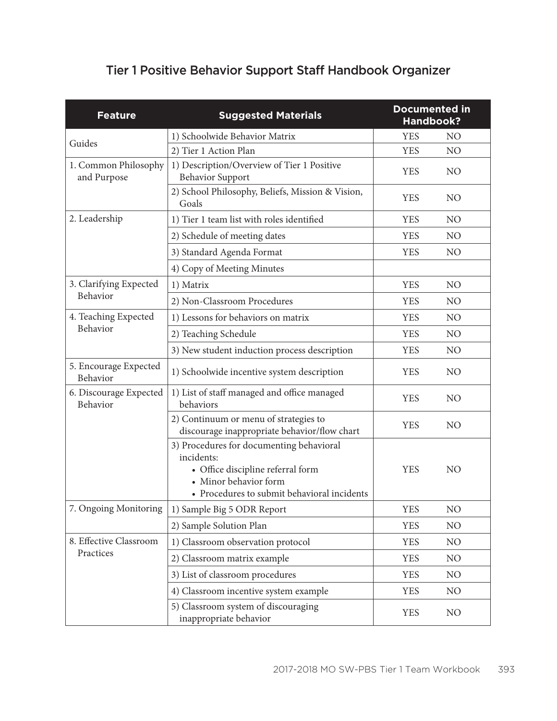### Tier 1 Positive Behavior Support Staff Handbook Organizer

| <b>Feature</b>                      | <b>Suggested Materials</b>                                                                                                                                          | <b>Documented in</b><br><b>Handbook?</b> |                |
|-------------------------------------|---------------------------------------------------------------------------------------------------------------------------------------------------------------------|------------------------------------------|----------------|
|                                     | 1) Schoolwide Behavior Matrix                                                                                                                                       | <b>YES</b>                               | NO             |
| Guides                              | 2) Tier 1 Action Plan                                                                                                                                               | <b>YES</b>                               | NO             |
| 1. Common Philosophy<br>and Purpose | 1) Description/Overview of Tier 1 Positive<br><b>Behavior Support</b>                                                                                               | <b>YES</b>                               | N <sub>O</sub> |
|                                     | 2) School Philosophy, Beliefs, Mission & Vision,<br>Goals                                                                                                           | <b>YES</b>                               | N <sub>O</sub> |
| 2. Leadership                       | 1) Tier 1 team list with roles identified                                                                                                                           | <b>YES</b>                               | N <sub>O</sub> |
|                                     | 2) Schedule of meeting dates                                                                                                                                        | <b>YES</b>                               | N <sub>O</sub> |
|                                     | 3) Standard Agenda Format                                                                                                                                           | <b>YES</b>                               | N <sub>O</sub> |
|                                     | 4) Copy of Meeting Minutes                                                                                                                                          |                                          |                |
| 3. Clarifying Expected              | 1) Matrix                                                                                                                                                           | <b>YES</b>                               | NO             |
| Behavior                            | 2) Non-Classroom Procedures                                                                                                                                         | <b>YES</b>                               | NO             |
| 4. Teaching Expected                | 1) Lessons for behaviors on matrix                                                                                                                                  | <b>YES</b>                               | N <sub>O</sub> |
| Behavior                            | 2) Teaching Schedule                                                                                                                                                | <b>YES</b>                               | NO             |
|                                     | 3) New student induction process description                                                                                                                        | <b>YES</b>                               | N <sub>O</sub> |
| 5. Encourage Expected<br>Behavior   | 1) Schoolwide incentive system description                                                                                                                          | <b>YES</b>                               | N <sub>O</sub> |
| 6. Discourage Expected<br>Behavior  | 1) List of staff managed and office managed<br>behaviors                                                                                                            | <b>YES</b>                               | N <sub>O</sub> |
|                                     | 2) Continuum or menu of strategies to<br>discourage inappropriate behavior/flow chart                                                                               | <b>YES</b>                               | NO             |
|                                     | 3) Procedures for documenting behavioral<br>incidents:<br>• Office discipline referral form<br>· Minor behavior form<br>• Procedures to submit behavioral incidents | <b>YES</b>                               | NO             |
| 7. Ongoing Monitoring               | 1) Sample Big 5 ODR Report                                                                                                                                          | <b>YES</b>                               | NO             |
|                                     | 2) Sample Solution Plan                                                                                                                                             | <b>YES</b>                               | NO             |
| 8. Effective Classroom              | 1) Classroom observation protocol                                                                                                                                   | <b>YES</b>                               | N <sub>O</sub> |
| Practices                           | 2) Classroom matrix example                                                                                                                                         | <b>YES</b>                               | NO             |
|                                     | 3) List of classroom procedures                                                                                                                                     | <b>YES</b>                               | N <sub>O</sub> |
|                                     | 4) Classroom incentive system example                                                                                                                               | <b>YES</b>                               | N <sub>O</sub> |
|                                     | 5) Classroom system of discouraging<br>inappropriate behavior                                                                                                       | <b>YES</b>                               | N <sub>O</sub> |